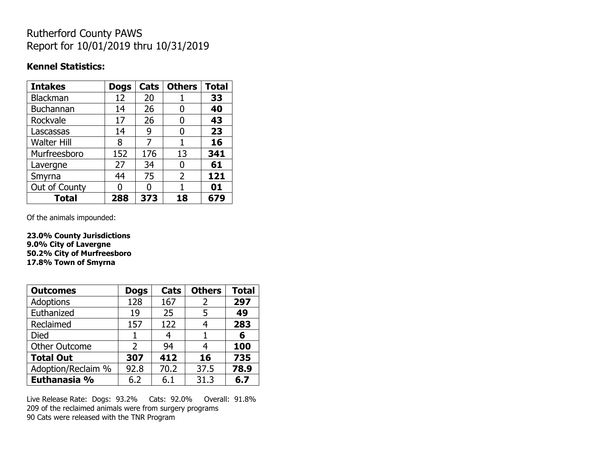## Rutherford County PAWS Report for 10/01/2019 thru 10/31/2019

#### **Kennel Statistics:**

| <b>Intakes</b>     | <b>Dogs</b> | Cats | <b>Others</b>  | <b>Total</b> |
|--------------------|-------------|------|----------------|--------------|
| Blackman           | 12          | 20   |                | 33           |
| Buchannan          | 14          | 26   | 0              | 40           |
| Rockvale           | 17          | 26   | O              | 43           |
| Lascassas          | 14          | 9    | 0              | 23           |
| <b>Walter Hill</b> | 8           | 7    | 1              | 16           |
| Murfreesboro       | 152         | 176  | 13             | 341          |
| Lavergne           | 27          | 34   | 0              | 61           |
| Smyrna             | 44          | 75   | $\overline{2}$ | 121          |
| Out of County      | 0           | U    |                | 01           |
| <b>Total</b>       | 288         | 373  | 18             | 679          |

Of the animals impounded:

**23.0% County Jurisdictions 9.0% City of Lavergne 50.2% City of Murfreesboro 17.8% Town of Smyrna**

| <b>Outcomes</b>      | <b>Dogs</b> | Cats | <b>Others</b> | <b>Total</b> |
|----------------------|-------------|------|---------------|--------------|
| <b>Adoptions</b>     | 128         | 167  | 2             | 297          |
| Euthanized           | 19          | 25   | 5             | 49           |
| Reclaimed            | 157         | 122  | 4             | 283          |
| <b>Died</b>          | 1           | 4    |               | 6            |
| <b>Other Outcome</b> | 2           | 94   | 4             | 100          |
| <b>Total Out</b>     | 307         | 412  | 16            | 735          |
| Adoption/Reclaim %   | 92.8        | 70.2 | 37.5          | 78.9         |
| Euthanasia %         | 6.2         | 6.1  | 31.3          | 6.7          |

Live Release Rate: Dogs: 93.2% Cats: 92.0% Overall: 91.8% 209 of the reclaimed animals were from surgery programs 90 Cats were released with the TNR Program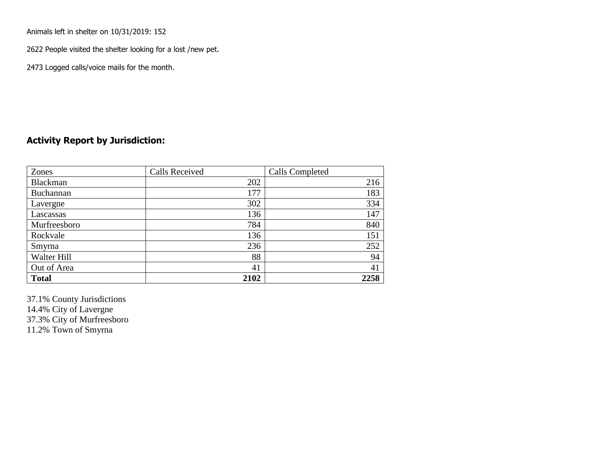Animals left in shelter on 10/31/2019: 152

2622 People visited the shelter looking for a lost /new pet.

2473 Logged calls/voice mails for the month.

### **Activity Report by Jurisdiction:**

| Zones           | <b>Calls Received</b> | <b>Calls Completed</b> |
|-----------------|-----------------------|------------------------|
| <b>Blackman</b> | 202                   | 216                    |
| Buchannan       | 177                   | 183                    |
| Lavergne        | 302                   | 334                    |
| Lascassas       | 136                   | 147                    |
| Murfreesboro    | 784                   | 840                    |
| Rockvale        | 136                   | 151                    |
| Smyrna          | 236                   | 252                    |
| Walter Hill     | 88                    | 94                     |
| Out of Area     | 41                    | 41                     |
| <b>Total</b>    | 2102                  | 2258                   |

37.1% County Jurisdictions 14.4% City of Lavergne 37.3% City of Murfreesboro 11.2% Town of Smyrna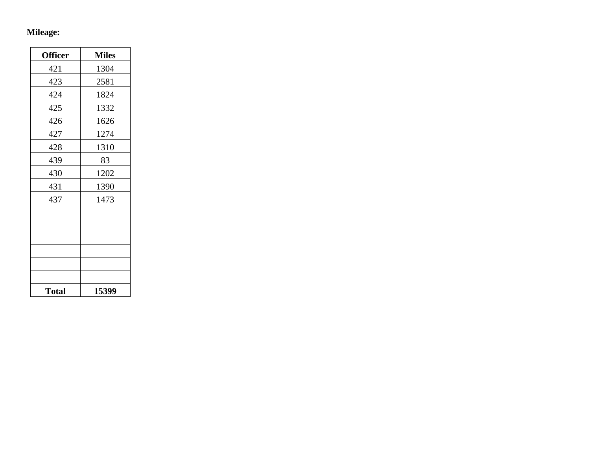# **Mileage:**

| <b>Officer</b> | <b>Miles</b> |
|----------------|--------------|
| 421            | 1304         |
| 423            | 2581         |
| 424            | 1824         |
| 425            | 1332         |
| 426            | 1626         |
| 427            | 1274         |
| 428            | 1310         |
| 439            | 83           |
| 430            | 1202         |
| 431            | 1390         |
| 437            | 1473         |
|                |              |
|                |              |
|                |              |
|                |              |
|                |              |
|                |              |
| <b>Total</b>   | 15399        |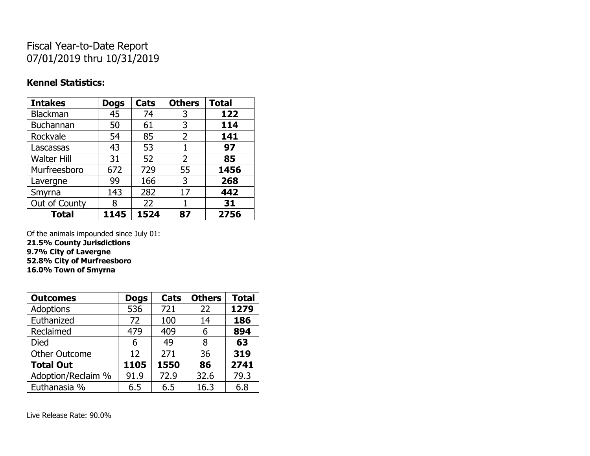## Fiscal Year-to-Date Report 07/01/2019 thru 10/31/2019

### **Kennel Statistics:**

| <b>Intakes</b>     | <b>Dogs</b> | Cats | <b>Others</b> | <b>Total</b> |
|--------------------|-------------|------|---------------|--------------|
| Blackman           | 45          | 74   | 3             | 122          |
| Buchannan          | 50          | 61   | 3             | 114          |
| Rockvale           | 54          | 85   | 2             | 141          |
| Lascassas          | 43          | 53   | 1             | 97           |
| <b>Walter Hill</b> | 31          | 52   | 2             | 85           |
| Murfreesboro       | 672         | 729  | 55            | 1456         |
| Lavergne           | 99          | 166  | 3             | 268          |
| Smyrna             | 143         | 282  | 17            | 442          |
| Out of County      | 8           | 22   | 1             | 31           |
| <b>Total</b>       | 1145        | 1524 | 87            | 2756         |

Of the animals impounded since July 01:

**21.5% County Jurisdictions 9.7% City of Lavergne 52.8% City of Murfreesboro**

**16.0% Town of Smyrna**

| <b>Outcomes</b>      | <b>Dogs</b> | Cats | <b>Others</b> | <b>Total</b> |
|----------------------|-------------|------|---------------|--------------|
| <b>Adoptions</b>     | 536         | 721  | 22            | 1279         |
| Euthanized           | 72          | 100  | 14            | 186          |
| Reclaimed            | 479         | 409  | 6             | 894          |
| Died                 | 6           | 49   | 8             | 63           |
| <b>Other Outcome</b> | 12          | 271  | 36            | 319          |
| <b>Total Out</b>     | 1105        | 1550 | 86            | 2741         |
| Adoption/Reclaim %   | 91.9        | 72.9 | 32.6          | 79.3         |
| Euthanasia %         | 6.5         | 6.5  | 16.3          | 6.8          |

Live Release Rate: 90.0%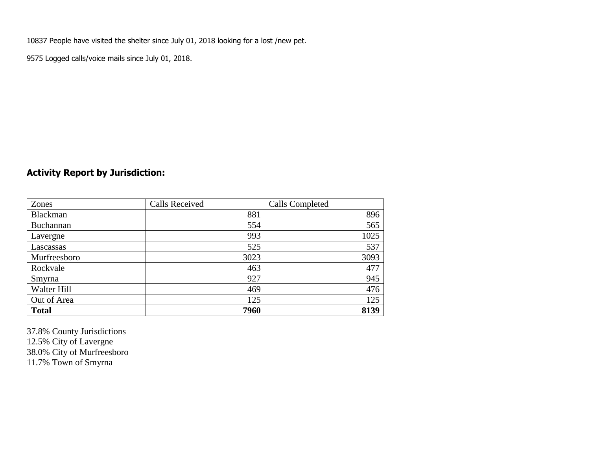10837 People have visited the shelter since July 01, 2018 looking for a lost /new pet.

9575 Logged calls/voice mails since July 01, 2018.

## **Activity Report by Jurisdiction:**

| Zones           | <b>Calls Received</b> | <b>Calls Completed</b> |
|-----------------|-----------------------|------------------------|
| <b>Blackman</b> | 881                   | 896                    |
| Buchannan       | 554                   | 565                    |
| Lavergne        | 993                   | 1025                   |
| Lascassas       | 525                   | 537                    |
| Murfreesboro    | 3023                  | 3093                   |
| Rockvale        | 463                   | 477                    |
| Smyrna          | 927                   | 945                    |
| Walter Hill     | 469                   | 476                    |
| Out of Area     | 125                   | 125                    |
| <b>Total</b>    | 7960                  | 8139                   |

37.8% County Jurisdictions 12.5% City of Lavergne 38.0% City of Murfreesboro 11.7% Town of Smyrna